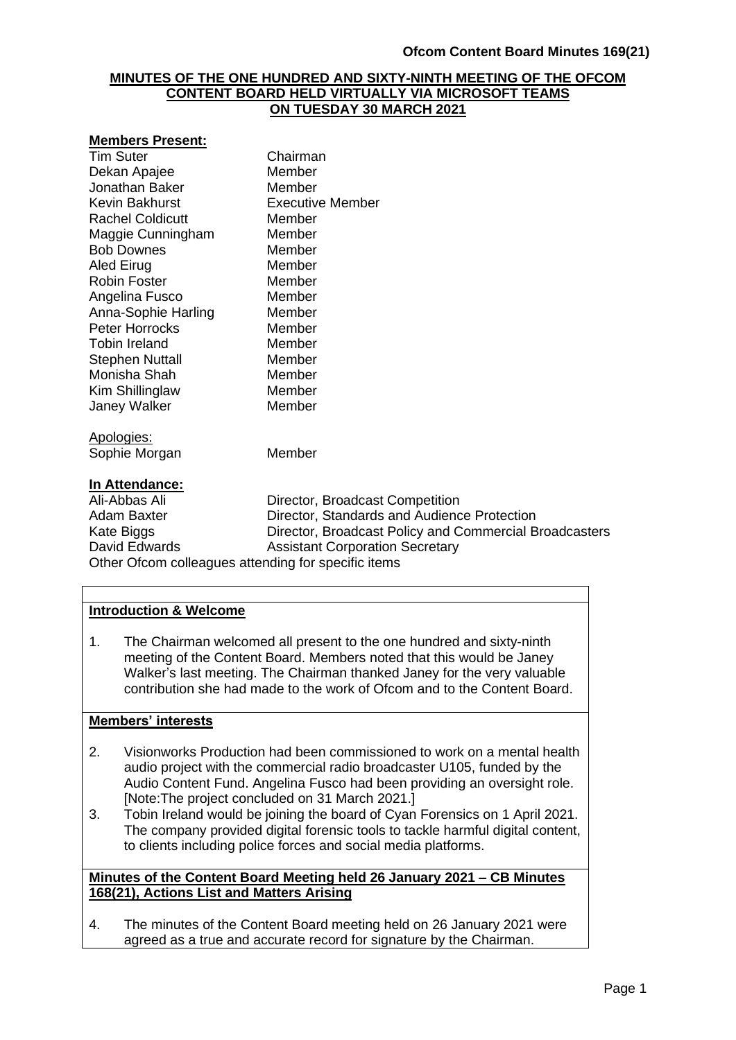#### **MINUTES OF THE ONE HUNDRED AND SIXTY-NINTH MEETING OF THE OFCOM CONTENT BOARD HELD VIRTUALLY VIA MICROSOFT TEAMS ON TUESDAY 30 MARCH 2021**

#### **Members Present:**

| Tim Suter               | Chairman                               |
|-------------------------|----------------------------------------|
| Dekan Apajee            | Member                                 |
| Jonathan Baker          | Member                                 |
| Kevin Bakhurst          | <b>Executive Member</b>                |
| <b>Rachel Coldicutt</b> | Member                                 |
| Maggie Cunningham       | Member                                 |
| <b>Bob Downes</b>       | Member                                 |
| Aled Eirug              | Member                                 |
| <b>Robin Foster</b>     | Member                                 |
| Angelina Fusco          | Member                                 |
| Anna-Sophie Harling     | Member                                 |
| Peter Horrocks          | Member                                 |
| Tobin Ireland           | Member                                 |
| Stephen Nuttall         | Member                                 |
| Monisha Shah            | Member                                 |
| Kim Shillinglaw         | Member                                 |
| Janey Walker            | Member                                 |
| <u> Apologies:</u>      |                                        |
| Sophie Morgan           | Member                                 |
| <u>In Attendance:</u>   |                                        |
| Ali-Abbas Ali           | Director, Broadcast Competition        |
| Adam Baxter             | Director, Standards and Audience Prote |
| Kate Rinns              | Director, Broadcast Policy and Commer  |

Adam Baxter **Director, Standards and Audience Protection** Kate Biggs **Exercise Service Constructs** Director, Broadcast Policy and Commercial Broadcasters David Edwards **Assistant Corporation Secretary** Other Ofcom colleagues attending for specific items

### **Introduction & Welcome**

1. The Chairman welcomed all present to the one hundred and sixty-ninth meeting of the Content Board. Members noted that this would be Janey Walker's last meeting. The Chairman thanked Janey for the very valuable contribution she had made to the work of Ofcom and to the Content Board.

#### **Members' interests**

- 2. Visionworks Production had been commissioned to work on a mental health audio project with the commercial radio broadcaster U105, funded by the Audio Content Fund. Angelina Fusco had been providing an oversight role. [Note:The project concluded on 31 March 2021.]
- 3. Tobin Ireland would be joining the board of Cyan Forensics on 1 April 2021. The company provided digital forensic tools to tackle harmful digital content, to clients including police forces and social media platforms.

#### **Minutes of the Content Board Meeting held 26 January 2021 – CB Minutes 168(21), Actions List and Matters Arising**

4. The minutes of the Content Board meeting held on 26 January 2021 were agreed as a true and accurate record for signature by the Chairman.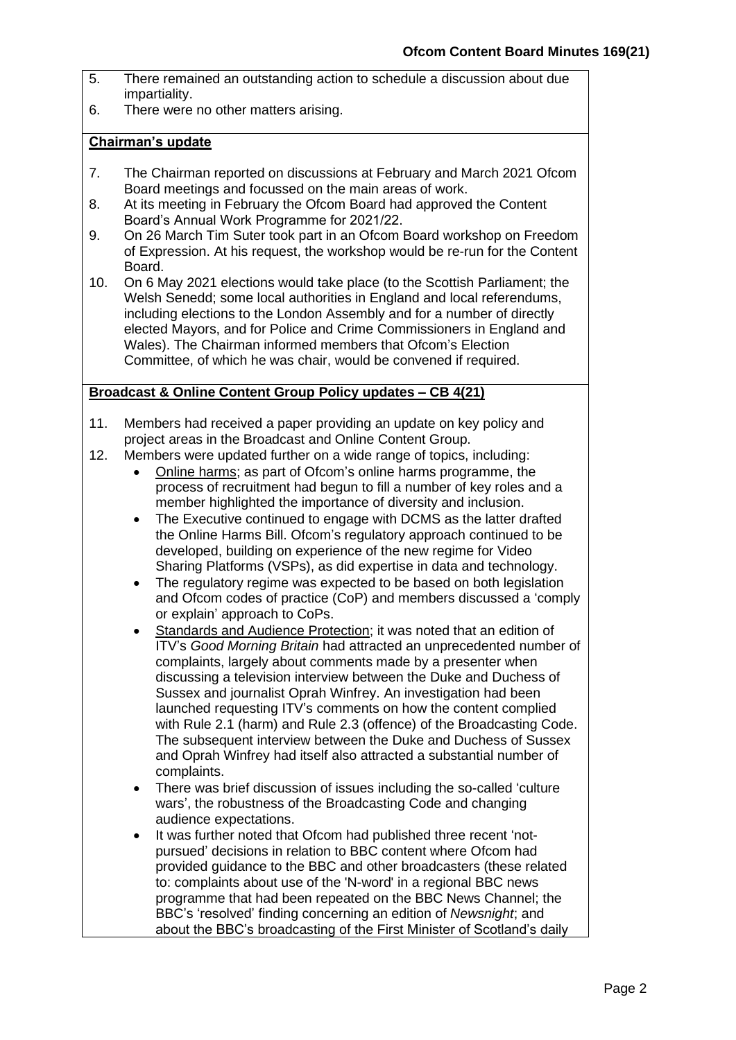- 5. There remained an outstanding action to schedule a discussion about due impartiality.
- 6. There were no other matters arising.

#### **Chairman's update**

- 7. The Chairman reported on discussions at February and March 2021 Ofcom Board meetings and focussed on the main areas of work.
- 8. At its meeting in February the Ofcom Board had approved the Content Board's Annual Work Programme for 2021/22.
- 9. On 26 March Tim Suter took part in an Ofcom Board workshop on Freedom of Expression. At his request, the workshop would be re-run for the Content Board.
- 10. On 6 May 2021 elections would take place (to the Scottish Parliament; the Welsh Senedd; some local authorities in England and local referendums, including elections to the London Assembly and for a number of directly elected Mayors, and for Police and Crime Commissioners in England and Wales). The Chairman informed members that Ofcom's Election Committee, of which he was chair, would be convened if required.

### **Broadcast & Online Content Group Policy updates – CB 4(21)**

- 11. Members had received a paper providing an update on key policy and project areas in the Broadcast and Online Content Group.
- 12. Members were updated further on a wide range of topics, including:
	- Online harms; as part of Ofcom's online harms programme, the process of recruitment had begun to fill a number of key roles and a member highlighted the importance of diversity and inclusion.
	- The Executive continued to engage with DCMS as the latter drafted the Online Harms Bill. Ofcom's regulatory approach continued to be developed, building on experience of the new regime for Video Sharing Platforms (VSPs), as did expertise in data and technology.
	- The regulatory regime was expected to be based on both legislation and Ofcom codes of practice (CoP) and members discussed a 'comply or explain' approach to CoPs.
	- Standards and Audience Protection; it was noted that an edition of ITV's *Good Morning Britain* had attracted an unprecedented number of complaints, largely about comments made by a presenter when discussing a television interview between the Duke and Duchess of Sussex and journalist Oprah Winfrey. An investigation had been launched requesting ITV's comments on how the content complied with Rule 2.1 (harm) and Rule 2.3 (offence) of the Broadcasting Code. The subsequent interview between the Duke and Duchess of Sussex and Oprah Winfrey had itself also attracted a substantial number of complaints.
	- There was brief discussion of issues including the so-called 'culture wars', the robustness of the Broadcasting Code and changing audience expectations.
	- It was further noted that Ofcom had published three recent 'notpursued' decisions in relation to BBC content where Ofcom had provided guidance to the BBC and other broadcasters (these related to: complaints about use of the 'N-word' in a regional BBC news programme that had been repeated on the BBC News Channel; the BBC's 'resolved' finding concerning an edition of *Newsnight*; and about the BBC's broadcasting of the First Minister of Scotland's daily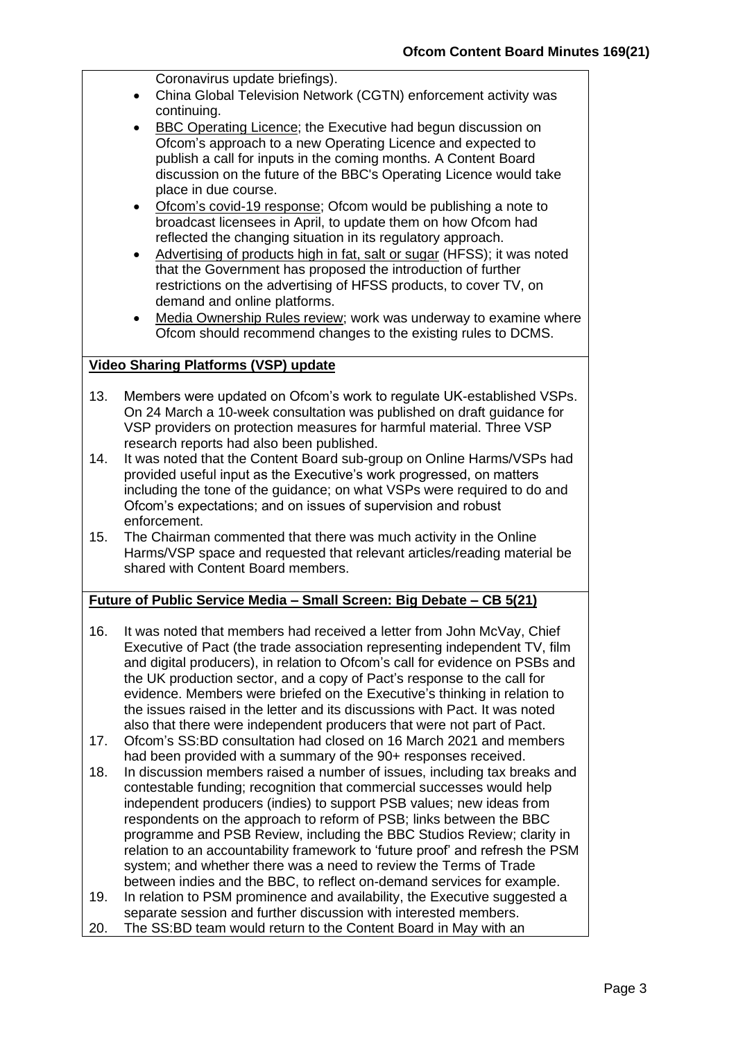Coronavirus update briefings).

- China Global Television Network (CGTN) enforcement activity was continuing.
- BBC Operating Licence; the Executive had begun discussion on Ofcom's approach to a new Operating Licence and expected to publish a call for inputs in the coming months. A Content Board discussion on the future of the BBC's Operating Licence would take place in due course.
- Ofcom's covid-19 response; Ofcom would be publishing a note to broadcast licensees in April, to update them on how Ofcom had reflected the changing situation in its regulatory approach.
- Advertising of products high in fat, salt or sugar (HFSS); it was noted that the Government has proposed the introduction of further restrictions on the advertising of HFSS products, to cover TV, on demand and online platforms.
- Media Ownership Rules review; work was underway to examine where Ofcom should recommend changes to the existing rules to DCMS.

# **Video Sharing Platforms (VSP) update**

- 13. Members were updated on Ofcom's work to regulate UK-established VSPs. On 24 March a 10-week consultation was published on draft guidance for VSP providers on protection measures for harmful material. Three VSP research reports had also been published.
- 14. It was noted that the Content Board sub-group on Online Harms/VSPs had provided useful input as the Executive's work progressed, on matters including the tone of the guidance; on what VSPs were required to do and Ofcom's expectations; and on issues of supervision and robust enforcement.
- 15. The Chairman commented that there was much activity in the Online Harms/VSP space and requested that relevant articles/reading material be shared with Content Board members.

# **Future of Public Service Media – Small Screen: Big Debate – CB 5(21)**

- 16. It was noted that members had received a letter from John McVay, Chief Executive of Pact (the trade association representing independent TV, film and digital producers), in relation to Ofcom's call for evidence on PSBs and the UK production sector, and a copy of Pact's response to the call for evidence. Members were briefed on the Executive's thinking in relation to the issues raised in the letter and its discussions with Pact. It was noted also that there were independent producers that were not part of Pact.
- 17. Ofcom's SS:BD consultation had closed on 16 March 2021 and members had been provided with a summary of the 90+ responses received.
- 18. In discussion members raised a number of issues, including tax breaks and contestable funding; recognition that commercial successes would help independent producers (indies) to support PSB values; new ideas from respondents on the approach to reform of PSB; links between the BBC programme and PSB Review, including the BBC Studios Review; clarity in relation to an accountability framework to 'future proof' and refresh the PSM system; and whether there was a need to review the Terms of Trade between indies and the BBC, to reflect on-demand services for example.
- 19. In relation to PSM prominence and availability, the Executive suggested a separate session and further discussion with interested members.
- 20. The SS:BD team would return to the Content Board in May with an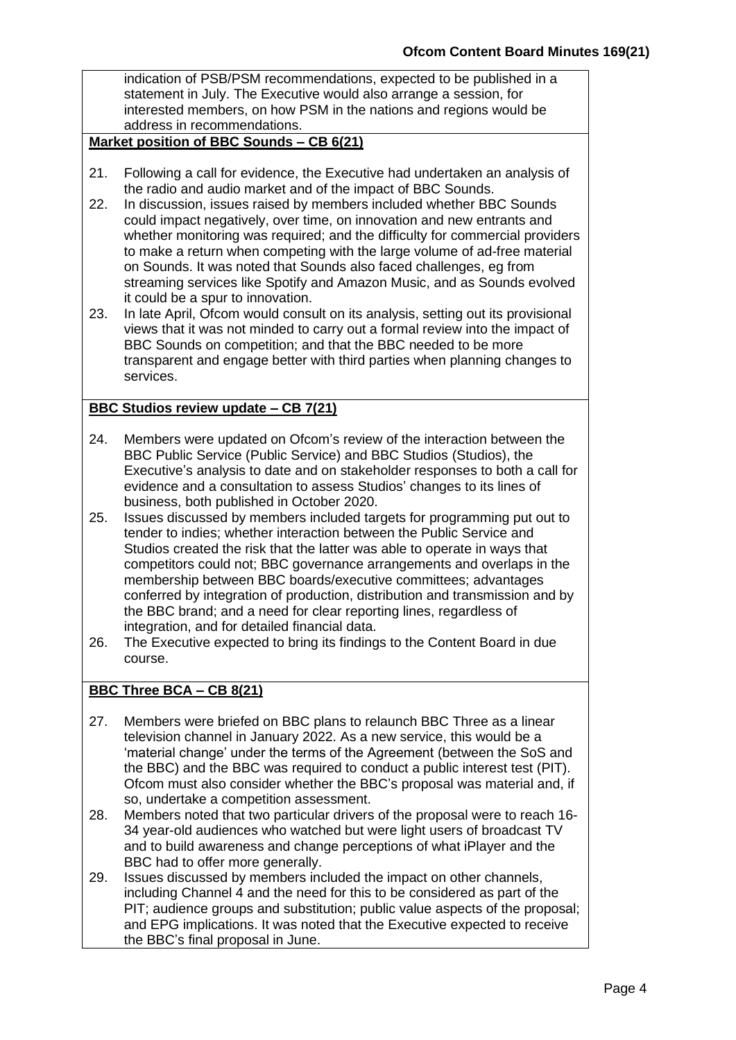indication of PSB/PSM recommendations, expected to be published in a statement in July. The Executive would also arrange a session, for interested members, on how PSM in the nations and regions would be address in recommendations.

### **Market position of BBC Sounds – CB 6(21)**

- 21. Following a call for evidence, the Executive had undertaken an analysis of the radio and audio market and of the impact of BBC Sounds.
- 22. In discussion, issues raised by members included whether BBC Sounds could impact negatively, over time, on innovation and new entrants and whether monitoring was required; and the difficulty for commercial providers to make a return when competing with the large volume of ad-free material on Sounds. It was noted that Sounds also faced challenges, eg from streaming services like Spotify and Amazon Music, and as Sounds evolved it could be a spur to innovation.
- 23. In late April, Ofcom would consult on its analysis, setting out its provisional views that it was not minded to carry out a formal review into the impact of BBC Sounds on competition; and that the BBC needed to be more transparent and engage better with third parties when planning changes to services.

### **BBC Studios review update – CB 7(21)**

- 24. Members were updated on Ofcom's review of the interaction between the BBC Public Service (Public Service) and BBC Studios (Studios), the Executive's analysis to date and on stakeholder responses to both a call for evidence and a consultation to assess Studios' changes to its lines of business, both published in October 2020.
- 25. Issues discussed by members included targets for programming put out to tender to indies; whether interaction between the Public Service and Studios created the risk that the latter was able to operate in ways that competitors could not; BBC governance arrangements and overlaps in the membership between BBC boards/executive committees; advantages conferred by integration of production, distribution and transmission and by the BBC brand; and a need for clear reporting lines, regardless of integration, and for detailed financial data.
- 26. The Executive expected to bring its findings to the Content Board in due course.

# **BBC Three BCA – CB 8(21)**

- 27. Members were briefed on BBC plans to relaunch BBC Three as a linear television channel in January 2022. As a new service, this would be a 'material change' under the terms of the Agreement (between the SoS and the BBC) and the BBC was required to conduct a public interest test (PIT). Ofcom must also consider whether the BBC's proposal was material and, if so, undertake a competition assessment.
- 28. Members noted that two particular drivers of the proposal were to reach 16- 34 year-old audiences who watched but were light users of broadcast TV and to build awareness and change perceptions of what iPlayer and the BBC had to offer more generally.
- 29. Issues discussed by members included the impact on other channels, including Channel 4 and the need for this to be considered as part of the PIT; audience groups and substitution; public value aspects of the proposal; and EPG implications. It was noted that the Executive expected to receive the BBC's final proposal in June.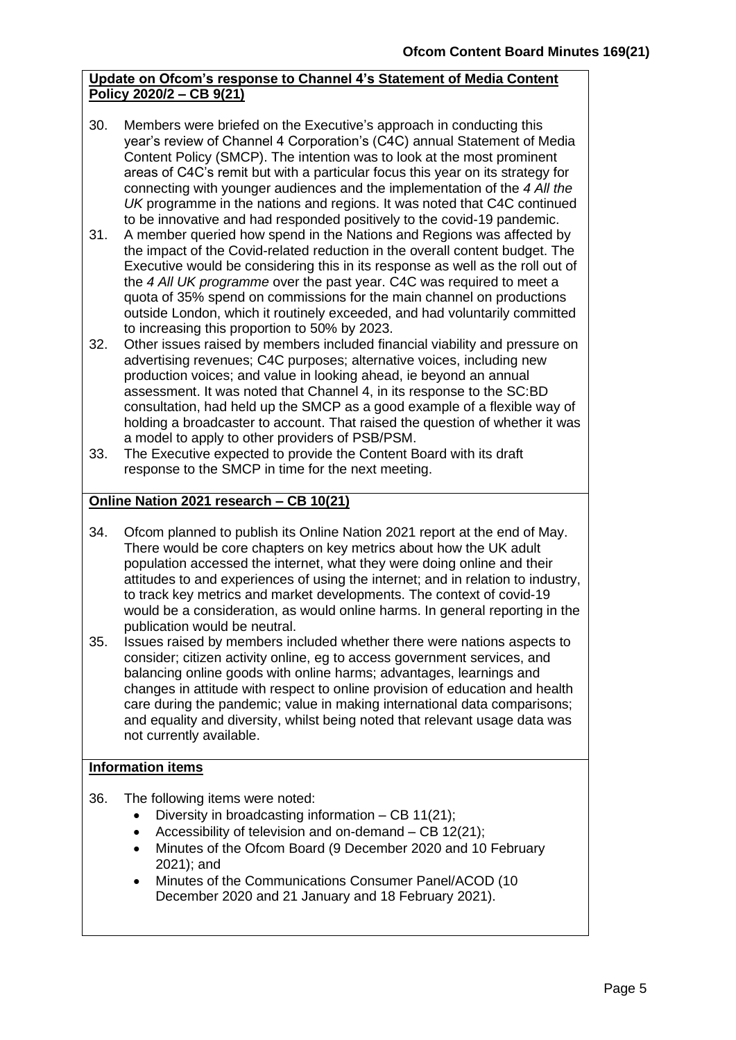# **Update on Ofcom's response to Channel 4's Statement of Media Content Policy 2020/2 – CB 9(21)**

- 30. Members were briefed on the Executive's approach in conducting this year's review of Channel 4 Corporation's (C4C) annual Statement of Media Content Policy (SMCP). The intention was to look at the most prominent areas of C4C's remit but with a particular focus this year on its strategy for connecting with younger audiences and the implementation of the *4 All the UK* programme in the nations and regions. It was noted that C4C continued to be innovative and had responded positively to the covid-19 pandemic.
- 31. A member queried how spend in the Nations and Regions was affected by the impact of the Covid-related reduction in the overall content budget. The Executive would be considering this in its response as well as the roll out of the *4 All UK programme* over the past year. C4C was required to meet a quota of 35% spend on commissions for the main channel on productions outside London, which it routinely exceeded, and had voluntarily committed to increasing this proportion to 50% by 2023.
- 32. Other issues raised by members included financial viability and pressure on advertising revenues; C4C purposes; alternative voices, including new production voices; and value in looking ahead, ie beyond an annual assessment. It was noted that Channel 4, in its response to the SC:BD consultation, had held up the SMCP as a good example of a flexible way of holding a broadcaster to account. That raised the question of whether it was a model to apply to other providers of PSB/PSM.
- 33. The Executive expected to provide the Content Board with its draft response to the SMCP in time for the next meeting.

# **Online Nation 2021 research – CB 10(21)**

- 34. Ofcom planned to publish its Online Nation 2021 report at the end of May. There would be core chapters on key metrics about how the UK adult population accessed the internet, what they were doing online and their attitudes to and experiences of using the internet; and in relation to industry, to track key metrics and market developments. The context of covid-19 would be a consideration, as would online harms. In general reporting in the publication would be neutral.
- 35. Issues raised by members included whether there were nations aspects to consider; citizen activity online, eg to access government services, and balancing online goods with online harms; advantages, learnings and changes in attitude with respect to online provision of education and health care during the pandemic; value in making international data comparisons; and equality and diversity, whilst being noted that relevant usage data was not currently available.

# **Information items**

- 36. The following items were noted:
	- Diversity in broadcasting information  $-$  CB 11(21);
	- Accessibility of television and on-demand CB 12(21);
	- Minutes of the Ofcom Board (9 December 2020 and 10 February 2021); and
	- Minutes of the Communications Consumer Panel/ACOD (10 December 2020 and 21 January and 18 February 2021).